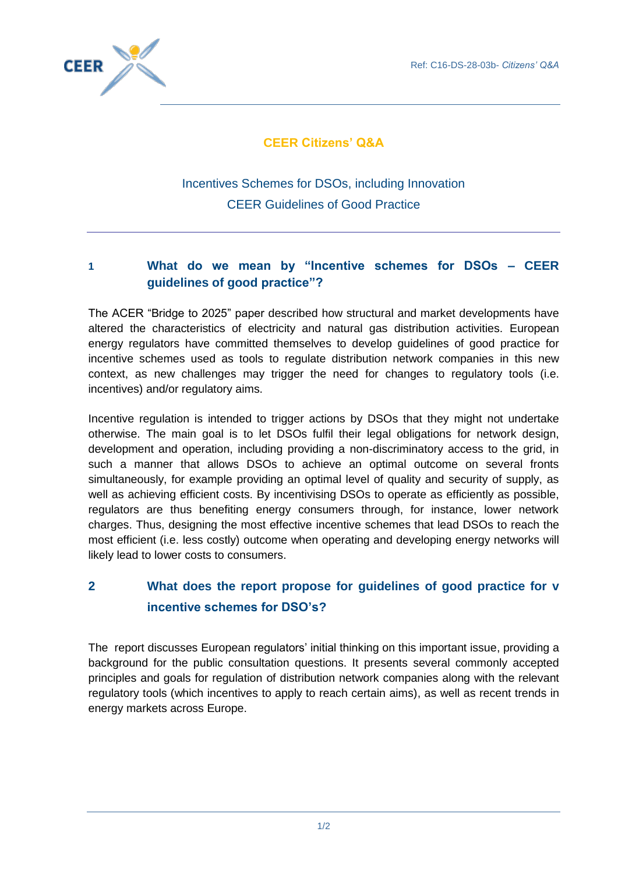

#### **CEER Citizens' Q&A**

## Incentives Schemes for DSOs, including Innovation CEER Guidelines of Good Practice

#### **1 What do we mean by "Incentive schemes for DSOs – CEER guidelines of good practice"?**

The ACER "Bridge to 2025" paper described how structural and market developments have altered the characteristics of electricity and natural gas distribution activities. European energy regulators have committed themselves to develop guidelines of good practice for incentive schemes used as tools to regulate distribution network companies in this new context, as new challenges may trigger the need for changes to regulatory tools (i.e. incentives) and/or regulatory aims.

Incentive regulation is intended to trigger actions by DSOs that they might not undertake otherwise. The main goal is to let DSOs fulfil their legal obligations for network design, development and operation, including providing a non-discriminatory access to the grid, in such a manner that allows DSOs to achieve an optimal outcome on several fronts simultaneously, for example providing an optimal level of quality and security of supply, as well as achieving efficient costs. By incentivising DSOs to operate as efficiently as possible, regulators are thus benefiting energy consumers through, for instance, lower network charges. Thus, designing the most effective incentive schemes that lead DSOs to reach the most efficient (i.e. less costly) outcome when operating and developing energy networks will likely lead to lower costs to consumers.

# **2 What does the report propose for guidelines of good practice for v incentive schemes for DSO's?**

The report discusses European regulators' initial thinking on this important issue, providing a background for the public consultation questions. It presents several commonly accepted principles and goals for regulation of distribution network companies along with the relevant regulatory tools (which incentives to apply to reach certain aims), as well as recent trends in energy markets across Europe.